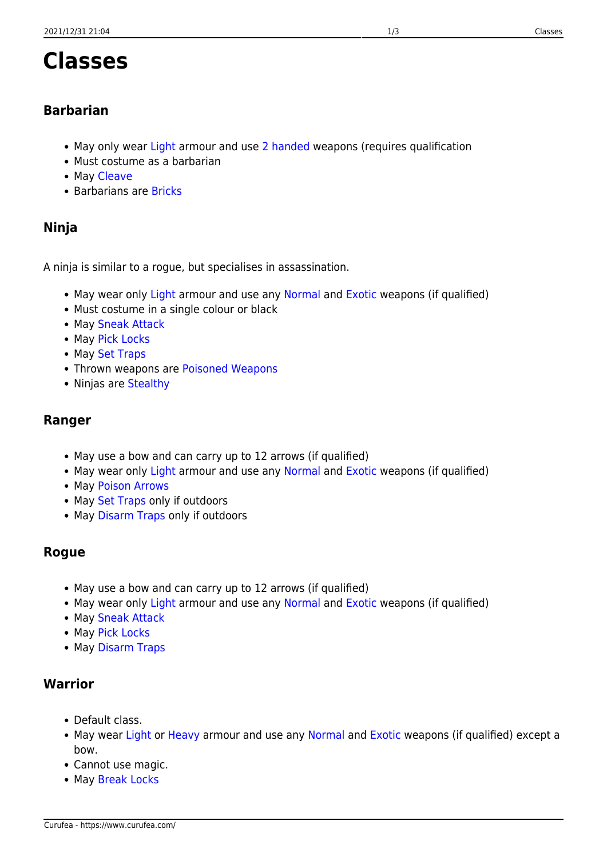# **Classes**

### **Barbarian**

- May only wear [Light](https://www.curufea.com/doku.php?id=hundredswords:weapon_and_armour_types#light_armour) armour and use [2 handed](https://www.curufea.com/doku.php?id=hundredswords:weapon_and_armour_types#exotic) weapons (requires qualification
- Must costume as a barbarian
- May [Cleave](https://www.curufea.com/doku.php?id=hundredswords:skills#class_skills)
- Barbarians are [Bricks](https://www.curufea.com/doku.php?id=hundredswords:skills#class_skills)

# **Ninja**

A ninja is similar to a rogue, but specialises in assassination.

- May wear only [Light](https://www.curufea.com/doku.php?id=hundredswords:weapon_and_armour_types#light_armour) armour and use any [Normal](https://www.curufea.com/doku.php?id=hundredswords:weapon_and_armour_types#normal) and [Exotic](https://www.curufea.com/doku.php?id=hundredswords:weapon_and_armour_types#exotic) weapons (if qualified)
- Must costume in a single colour or black
- May [Sneak Attack](https://www.curufea.com/doku.php?id=hundredswords:skills#class_skills)
- May [Pick Locks](https://www.curufea.com/doku.php?id=hundredswords:skills#class_skills)
- May [Set Traps](https://www.curufea.com/doku.php?id=hundredswords:skills#class_skills)
- Thrown weapons are [Poisoned Weapons](https://www.curufea.com/doku.php?id=hundredswords:skills#class_skills)
- Ninjas are [Stealthy](https://www.curufea.com/doku.php?id=hundredswords:skills#class_skills)

#### **Ranger**

- May use a bow and can carry up to 12 arrows (if qualified)
- May wear only [Light](https://www.curufea.com/doku.php?id=hundredswords:weapon_and_armour_types#light_armour) armour and use any [Normal](https://www.curufea.com/doku.php?id=hundredswords:weapon_and_armour_types#normal) and [Exotic](https://www.curufea.com/doku.php?id=hundredswords:weapon_and_armour_types#exotic) weapons (if qualified)
- May [Poison Arrows](https://www.curufea.com/doku.php?id=hundredswords:skills#class_skills)
- May [Set Traps](https://www.curufea.com/doku.php?id=hundredswords:skills#class_skills) only if outdoors
- May [Disarm Traps](https://www.curufea.com/doku.php?id=hundredswords:skills#class_skills) only if outdoors

### **Rogue**

- May use a bow and can carry up to 12 arrows (if qualified)
- May wear only [Light](https://www.curufea.com/doku.php?id=hundredswords:weapon_and_armour_types#light_armour) armour and use any [Normal](https://www.curufea.com/doku.php?id=hundredswords:weapon_and_armour_types#normal) and [Exotic](https://www.curufea.com/doku.php?id=hundredswords:weapon_and_armour_types#exotic) weapons (if qualified)
- May [Sneak Attack](https://www.curufea.com/doku.php?id=hundredswords:skills#class_skills)
- May [Pick Locks](https://www.curufea.com/doku.php?id=hundredswords:skills#class_skills)
- May [Disarm Traps](https://www.curufea.com/doku.php?id=hundredswords:skills#class_skills)

### **Warrior**

- Default class.
- May wear [Light](https://www.curufea.com/doku.php?id=hundredswords:weapon_and_armour_types#light_armour) or [Heavy](https://www.curufea.com/doku.php?id=hundredswords:weapon_and_armour_types#heavy_armour) armour and use any [Normal](https://www.curufea.com/doku.php?id=hundredswords:weapon_and_armour_types#normal) and [Exotic](https://www.curufea.com/doku.php?id=hundredswords:weapon_and_armour_types#exotic) weapons (if qualified) except a bow.
- Cannot use magic.
- May [Break Locks](https://www.curufea.com/doku.php?id=hundredswords:skills#class_skills)

Curufea - https://www.curufea.com/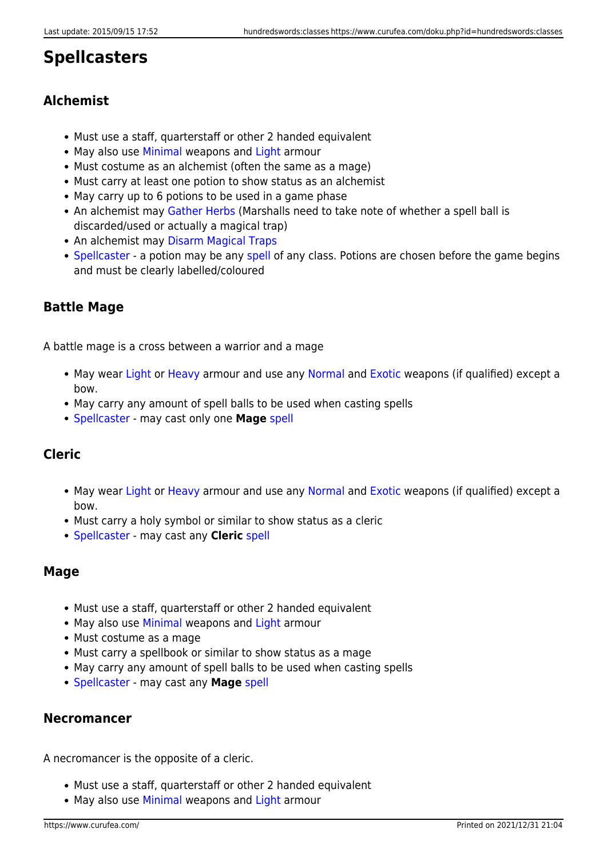# **Spellcasters**

# **Alchemist**

- Must use a staff, quarterstaff or other 2 handed equivalent
- May also use [Minimal](https://www.curufea.com/doku.php?id=hundredswords:weapon_and_armour_types#minimal) weapons and [Light](https://www.curufea.com/doku.php?id=hundredswords:weapon_and_armour_types#light_armour) armour
- Must costume as an alchemist (often the same as a mage)
- Must carry at least one potion to show status as an alchemist
- May carry up to 6 potions to be used in a game phase
- An alchemist may [Gather Herbs](https://www.curufea.com/doku.php?id=hundredswords:skills#class_skills) (Marshalls need to take note of whether a spell ball is discarded/used or actually a magical trap)
- An alchemist may [Disarm Magical Traps](https://www.curufea.com/doku.php?id=hundredswords:skills#class_skills)
- [Spellcaster](https://www.curufea.com/doku.php?id=hundredswords:skills#class_skills) a potion may be any [spell](https://www.curufea.com/doku.php?id=hundredswords:spells) of any class. Potions are chosen before the game begins and must be clearly labelled/coloured

## **Battle Mage**

A battle mage is a cross between a warrior and a mage

- May wear [Light](https://www.curufea.com/doku.php?id=hundredswords:weapon_and_armour_types#light_armour) or [Heavy](https://www.curufea.com/doku.php?id=hundredswords:weapon_and_armour_types#heavy_armour) armour and use any [Normal](https://www.curufea.com/doku.php?id=hundredswords:weapon_and_armour_types#normal) and [Exotic](https://www.curufea.com/doku.php?id=hundredswords:weapon_and_armour_types#exotic) weapons (if qualified) except a bow.
- May carry any amount of spell balls to be used when casting spells
- [Spellcaster](https://www.curufea.com/doku.php?id=hundredswords:skills#class_skills) may cast only one **Mage** [spell](https://www.curufea.com/doku.php?id=hundredswords:spells)

## **Cleric**

- May wear [Light](https://www.curufea.com/doku.php?id=hundredswords:weapon_and_armour_types#light_armour) or [Heavy](https://www.curufea.com/doku.php?id=hundredswords:weapon_and_armour_types#heavy_armour) armour and use any [Normal](https://www.curufea.com/doku.php?id=hundredswords:weapon_and_armour_types#normal) and [Exotic](https://www.curufea.com/doku.php?id=hundredswords:weapon_and_armour_types#exotic) weapons (if qualified) except a bow.
- Must carry a holy symbol or similar to show status as a cleric
- [Spellcaster](https://www.curufea.com/doku.php?id=hundredswords:skills#class_skills) may cast any **Cleric** [spell](https://www.curufea.com/doku.php?id=hundredswords:spells)

## **Mage**

- Must use a staff, quarterstaff or other 2 handed equivalent
- May also use [Minimal](https://www.curufea.com/doku.php?id=hundredswords:weapon_and_armour_types#minimal) weapons and [Light](https://www.curufea.com/doku.php?id=hundredswords:weapon_and_armour_types#light_armour) armour
- Must costume as a mage
- Must carry a spellbook or similar to show status as a mage
- May carry any amount of spell balls to be used when casting spells
- [Spellcaster](https://www.curufea.com/doku.php?id=hundredswords:skills#class_skills) may cast any **Mage** [spell](https://www.curufea.com/doku.php?id=hundredswords:spells)

### **Necromancer**

A necromancer is the opposite of a cleric.

- Must use a staff, quarterstaff or other 2 handed equivalent
- May also use [Minimal](https://www.curufea.com/doku.php?id=hundredswords:weapon_and_armour_types#minimal) weapons and [Light](https://www.curufea.com/doku.php?id=hundredswords:weapon_and_armour_types#light_armour) armour